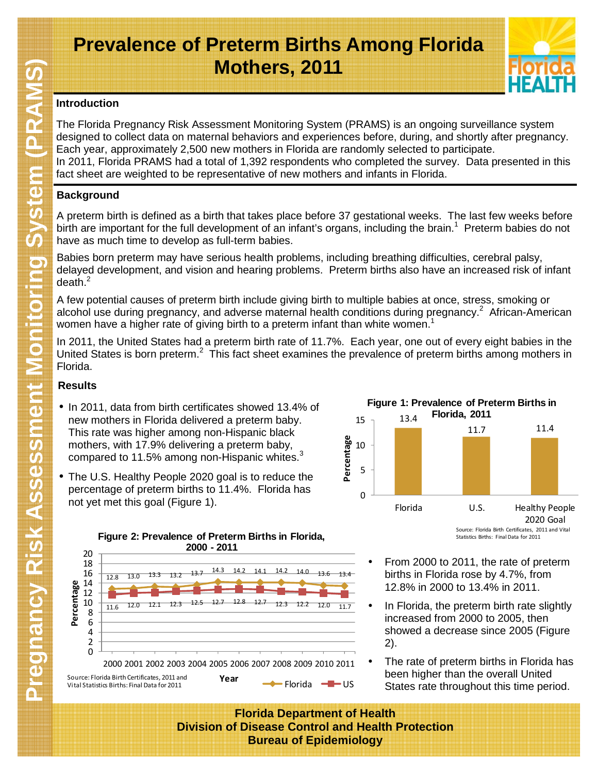# **Prevalence of Preterm Births Among Florida Mothers, 2011**



### **Introduction**

The Florida Pregnancy Risk Assessment Monitoring System (PRAMS) is an ongoing surveillance system designed to collect data on maternal behaviors and experiences before, during, and shortly after pregnancy. Each year, approximately 2,500 new mothers in Florida are randomly selected to participate. In 2011, Florida PRAMS had a total of 1,392 respondents who completed the survey. Data presented in this fact sheet are weighted to be representative of new mothers and infants in Florida.

## **Background**

A preterm birth is defined as a birth that takes place before 37 gestational weeks. The last few weeks before birth are important for the full development of an infant's organs, including the brain.<sup>1</sup> Preterm babies do not have as much time to develop as full-term babies.

Babies born preterm may have serious health problems, including breathing difficulties, cerebral palsy, delayed development, and vision and hearing problems. Preterm births also have an increased risk of infant death. $2$ 

A few potential causes of preterm birth include giving birth to multiple babies at once, stress, smoking or alcohol use during pregnancy, and adverse maternal health conditions during pregnancy.<sup>2</sup> African-American women have a higher rate of giving birth to a preterm infant than white women.<sup>1</sup>

In 2011, the United States had a preterm birth rate of 11.7%. Each year, one out of every eight babies in the United States is born preterm.<sup>2</sup> This fact sheet examines the prevalence of preterm births among mothers in Florida.

## **Results**

- In 2011, data from birth certificates showed 13.4% of new mothers in Florida delivered a preterm baby. This rate was higher among non-Hispanic black mothers, with 17.9% delivering a preterm baby, compared to 11.5% among non-Hispanic whites. $3$
- The U.S. Healthy People 2020 goal is to reduce the percentage of preterm births to 11.4%. Florida has not yet met this goal (Figure 1).



- From 2000 to 2011, the rate of preterm births in Florida rose by 4.7%, from 12.8% in 2000 to 13.4% in 2011.
- In Florida, the preterm birth rate slightly increased from 2000 to 2005, then showed a decrease since 2005 (Figure 2).
- The rate of preterm births in Florida has been higher than the overall United States rate throughout this time period.

**Florida Department of Health Division of Disease Control and Health Protection Bureau of Epidemiology**